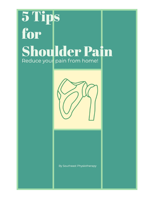# 5 Tips for **Shoulder Pain** Reduce your pain from home!



By Southeast Physiotherapy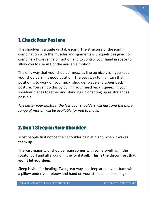### 1. Check Your Posture

The shoulder is a quite unstable joint. The structure of the joint in combination with the muscles and ligaments is uniquely designed to combine a huge range of motion and to control your hand in space to allow you to use ALL of the available motion.

The only way that your shoulder muscles line up nicely is if you keep your shoulders in a good position. The best way to maintain that position is to work on your neck, shoulder blade and upper back posture. You can do this by pulling your head back, squeezing your shoulder blades together and standing up or sitting up as straight as possible.

*The better your posture, the less your shoulders will hurt and the more range of motion will be available for you to move.* 

#### 2. Don't Sleep on Your Shoulder

Most people first notice their shoulder pain at night, when it wakes them up.

The vast majority of shoulder pain comes with some swelling in the rotator cuff and all around in the joint itself. **This is the discomfort that won't let you sleep**.

Sleep is vital for healing. Two great ways to sleep are on your back with a pillow under your elbow and hand on your stomach or sleeping on

2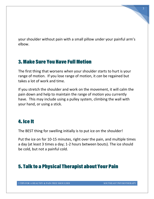your shoulder without pain with a small pillow under your painful arm's elbow.

### 3. Make Sure You Have Full Motion

The first thing that worsens when your shoulder starts to hurt is your range of motion. If you lose range of motion, it *can* be regained but takes a lot of work and time.

If you stretch the shoulder and work on the movement, it will calm the pain down and help to maintain the range of motion you currently have. This may include using a pulley system, climbing the wall with your hand, or using a stick.

### 4. Ice It

The BEST thing for swelling initially is to put ice on the shoulder!

Put the ice on for 10-15 minutes, right over the pain, and multiple times a day (at least 3 times a day; 1-2 hours between bouts). The ice should be cold, but not a painful cold.

## 5. Talk to a Physical Therapist about Your Pain